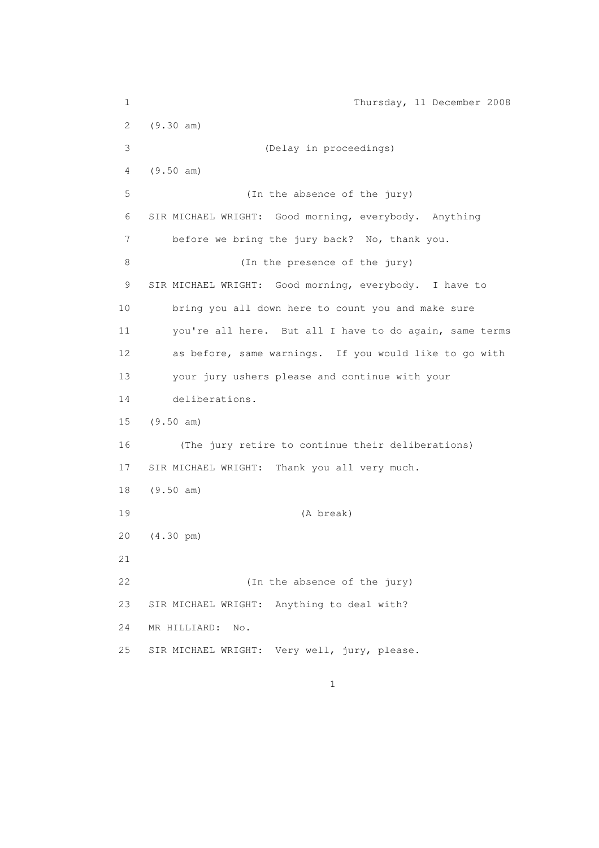1 Thursday, 11 December 2008 2 (9.30 am) 3 (Delay in proceedings) 4 (9.50 am) 5 (In the absence of the jury) 6 SIR MICHAEL WRIGHT: Good morning, everybody. Anything 7 before we bring the jury back? No, thank you. 8 (In the presence of the jury) 9 SIR MICHAEL WRIGHT: Good morning, everybody. I have to 10 bring you all down here to count you and make sure 11 you're all here. But all I have to do again, same terms 12 as before, same warnings. If you would like to go with 13 your jury ushers please and continue with your 14 deliberations. 15 (9.50 am) 16 (The jury retire to continue their deliberations) 17 SIR MICHAEL WRIGHT: Thank you all very much. 18 (9.50 am) 19 (A break) 20 (4.30 pm) 21 22 (In the absence of the jury) 23 SIR MICHAEL WRIGHT: Anything to deal with? 24 MR HILLIARD: No. 25 SIR MICHAEL WRIGHT: Very well, jury, please.

 $1$  and  $1$  and  $1$  and  $1$  and  $1$  and  $1$  and  $1$